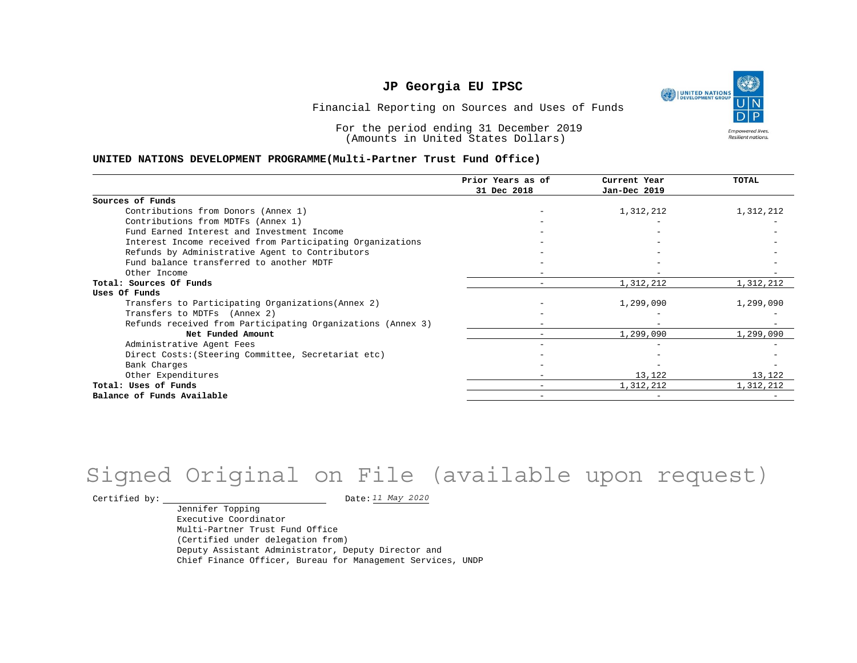UNITED NATIONS **Empowered lives** Resilient nations.

Financial Reporting on Sources and Uses of Funds

For the period ending 31 December 2019 (Amounts in United States Dollars)

#### **UNITED NATIONS DEVELOPMENT PROGRAMME(Multi-Partner Trust Fund Office)**

|                                                             | Prior Years as of<br>31 Dec 2018 | Current Year<br>Jan-Dec 2019 | TOTAL     |
|-------------------------------------------------------------|----------------------------------|------------------------------|-----------|
|                                                             |                                  |                              |           |
| Sources of Funds                                            |                                  |                              |           |
| Contributions from Donors (Annex 1)                         |                                  | 1,312,212                    | 1,312,212 |
| Contributions from MDTFs (Annex 1)                          |                                  |                              |           |
| Fund Earned Interest and Investment Income                  |                                  |                              |           |
| Interest Income received from Participating Organizations   |                                  |                              |           |
| Refunds by Administrative Agent to Contributors             |                                  |                              |           |
| Fund balance transferred to another MDTF                    |                                  |                              |           |
| Other Income                                                |                                  |                              |           |
| Total: Sources Of Funds                                     | -                                | 1,312,212                    | 1,312,212 |
| Uses Of Funds                                               |                                  |                              |           |
| Transfers to Participating Organizations (Annex 2)          |                                  | 1,299,090                    | 1,299,090 |
| Transfers to MDTFs (Annex 2)                                |                                  |                              |           |
| Refunds received from Participating Organizations (Annex 3) |                                  |                              |           |
| Net Funded Amount                                           |                                  | 1,299,090                    | 1,299,090 |
| Administrative Agent Fees                                   |                                  |                              |           |
| Direct Costs: (Steering Committee, Secretariat etc)         |                                  |                              |           |
| Bank Charges                                                |                                  |                              |           |
| Other Expenditures                                          |                                  | 13,122                       | 13,122    |
| Total: Uses of Funds                                        |                                  | 1,312,212                    | 1,312,212 |
| Balance of Funds Available                                  |                                  |                              |           |

## Signed Original on File (available upon request)

Certified by:  $\frac{11 May 2020}{100}$ 

Jennifer Topping Executive Coordinator Multi-Partner Trust Fund Office (Certified under delegation from) Deputy Assistant Administrator, Deputy Director and Chief Finance Officer, Bureau for Management Services, UNDP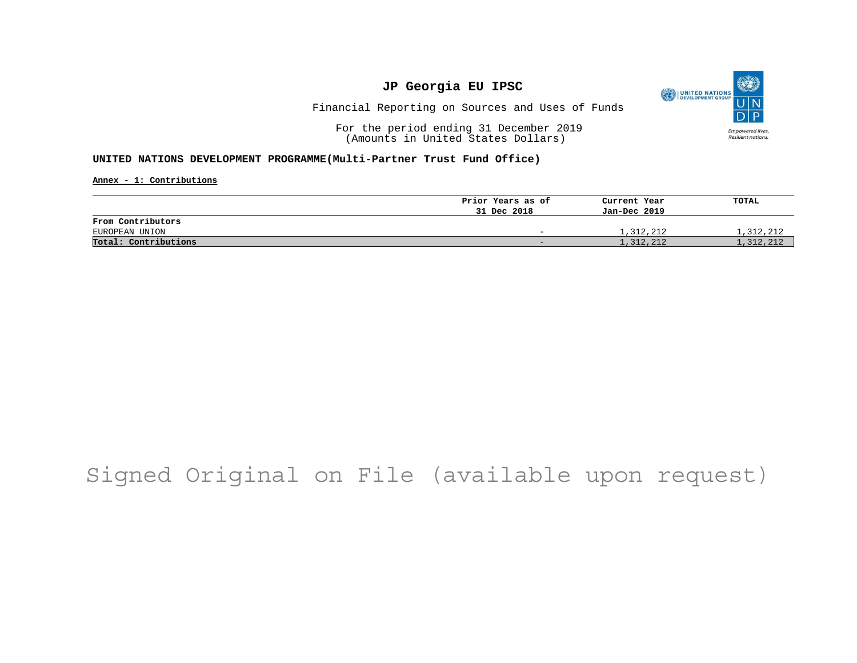

Financial Reporting on Sources and Uses of Funds

For the period ending 31 December 2019 (Amounts in United States Dollars)

#### **UNITED NATIONS DEVELOPMENT PROGRAMME(Multi-Partner Trust Fund Office)**

**Annex - 1: Contributions**

|                      | Prior Years as of        | Current Year | TOTAL     |
|----------------------|--------------------------|--------------|-----------|
|                      | 31 Dec 2018              | Jan-Dec 2019 |           |
| From Contributors    |                          |              |           |
| EUROPEAN UNION       | $\overline{\phantom{0}}$ | 1,312,212    | 1,312,212 |
| Total: Contributions | $-$                      | 1,312,212    | 1,312,212 |

## Signed Original on File (available upon request)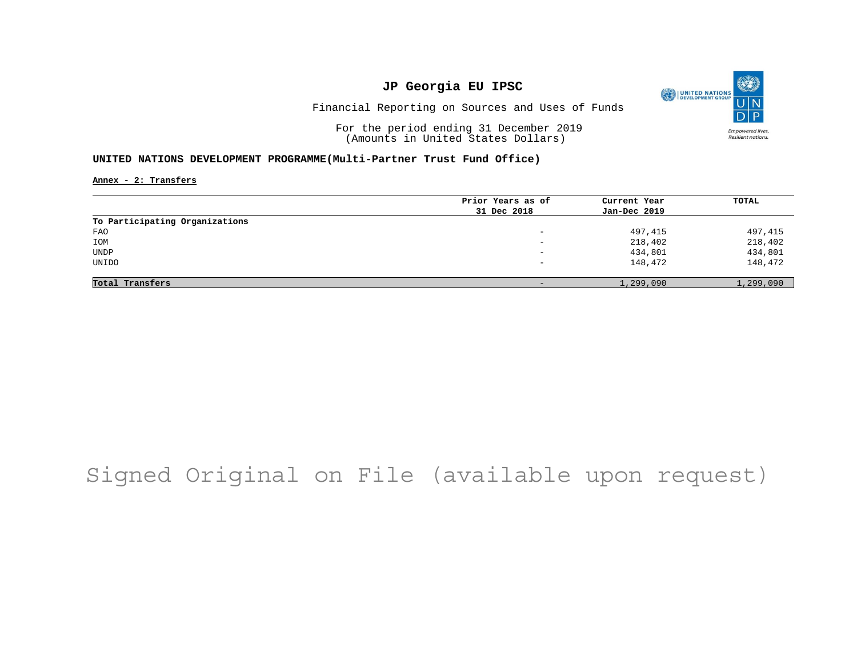

Financial Reporting on Sources and Uses of Funds

For the period ending 31 December 2019 (Amounts in United States Dollars)

#### **UNITED NATIONS DEVELOPMENT PROGRAMME(Multi-Partner Trust Fund Office)**

**Annex - 2: Transfers**

|                                | Prior Years as of        | Current Year | TOTAL     |
|--------------------------------|--------------------------|--------------|-----------|
|                                | 31 Dec 2018              | Jan-Dec 2019 |           |
| To Participating Organizations |                          |              |           |
| FAO                            | -                        | 497,415      | 497,415   |
| IOM                            | $\overline{\phantom{0}}$ | 218,402      | 218,402   |
| UNDP                           | -                        | 434,801      | 434,801   |
| UNIDO                          | $\overline{\phantom{0}}$ | 148,472      | 148,472   |
|                                |                          |              |           |
| Total Transfers                | -                        | 1,299,090    | 1,299,090 |

## Signed Original on File (available upon request)